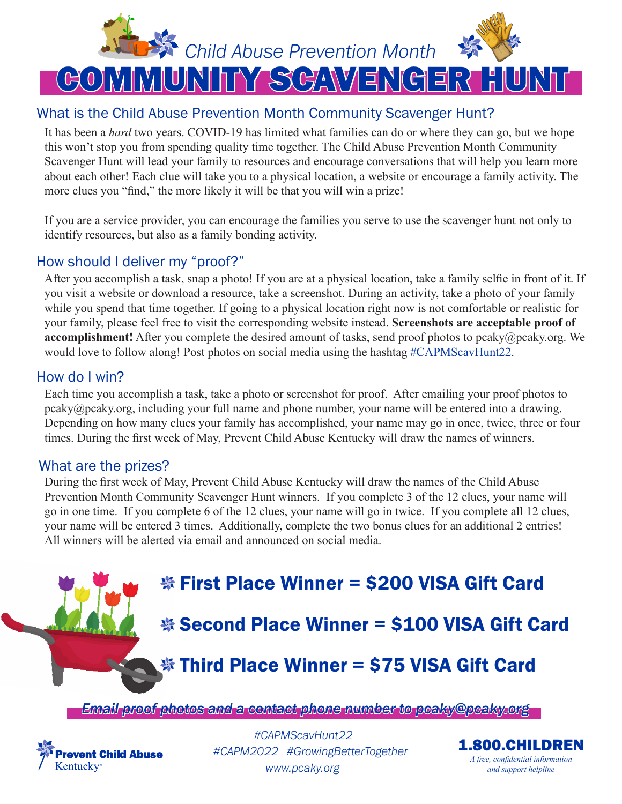

#### What is the Child Abuse Prevention Month Community Scavenger Hunt?

It has been a *hard* two years. COVID-19 has limited what families can do or where they can go, but we hope this won't stop you from spending quality time together. The Child Abuse Prevention Month Community Scavenger Hunt will lead your family to resources and encourage conversations that will help you learn more about each other! Each clue will take you to a physical location, a website or encourage a family activity. The more clues you "find," the more likely it will be that you will win a prize!

If you are a service provider, you can encourage the families you serve to use the scavenger hunt not only to identify resources, but also as a family bonding activity.

#### How should I deliver my "proof?"

After you accomplish a task, snap a photo! If you are at a physical location, take a family selfie in front of it. If you visit a website or download a resource, take a screenshot. During an activity, take a photo of your family while you spend that time together. If going to a physical location right now is not comfortable or realistic for your family, please feel free to visit the corresponding website instead. **Screenshots are acceptable proof of accomplishment!** After you complete the desired amount of tasks, send proof photos to pcaky@pcaky.org. We would love to follow along! Post photos on social media using the hashtag #CAPMScavHunt22.

#### How do I win?

Each time you accomplish a task, take a photo or screenshot for proof. After emailing your proof photos to pcaky@pcaky.org, including your full name and phone number, your name will be entered into a drawing. Depending on how many clues your family has accomplished, your name may go in once, twice, three or four times. During the first week of May, Prevent Child Abuse Kentucky will draw the names of winners.

#### What are the prizes?

During the first week of May, Prevent Child Abuse Kentucky will draw the names of the Child Abuse Prevention Month Community Scavenger Hunt winners. If you complete 3 of the 12 clues, your name will go in one time. If you complete 6 of the 12 clues, your name will go in twice. If you complete all 12 clues, your name will be entered 3 times. Additionally, complete the two bonus clues for an additional 2 entries! All winners will be alerted via email and announced on social media.

**※ First Place Winner = \$200 VISA Gift Card** 

**※ Second Place Winner = \$100 VISA Gift Card** 

### **Solution Third Place Winner = \$75 VISA Gift Card**

*Email proof photos and a contact phone number to pcaky@pcaky.org* 



*www.pcaky.org #CAPMScavHunt22 #CAPM2022 #GrowingBetterTogether*

1.800.CHILDREN *A free, confidential information and support helpline*